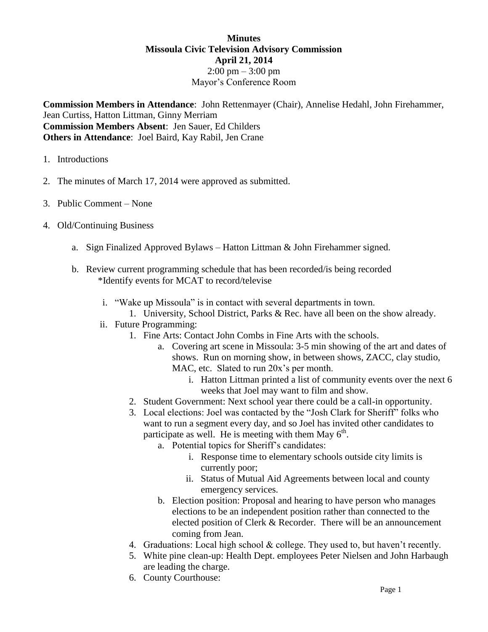## **Minutes Missoula Civic Television Advisory Commission April 21, 2014**  $2:00 \text{ pm} - 3:00 \text{ pm}$ Mayor's Conference Room

**Commission Members in Attendance**: John Rettenmayer (Chair), Annelise Hedahl, John Firehammer, Jean Curtiss, Hatton Littman, Ginny Merriam **Commission Members Absent**: Jen Sauer, Ed Childers **Others in Attendance**: Joel Baird, Kay Rabil, Jen Crane

- 1. Introductions
- 2. The minutes of March 17, 2014 were approved as submitted.
- 3. Public Comment None
- 4. Old/Continuing Business
	- a. Sign Finalized Approved Bylaws Hatton Littman & John Firehammer signed.
	- b. Review current programming schedule that has been recorded/is being recorded \*Identify events for MCAT to record/televise
		- i. "Wake up Missoula" is in contact with several departments in town.
		- 1. University, School District, Parks & Rec. have all been on the show already.
		- ii. Future Programming:
			- 1. Fine Arts: Contact John Combs in Fine Arts with the schools.
				- a. Covering art scene in Missoula: 3-5 min showing of the art and dates of shows. Run on morning show, in between shows, ZACC, clay studio, MAC, etc. Slated to run 20x's per month.
					- i. Hatton Littman printed a list of community events over the next 6 weeks that Joel may want to film and show.
			- 2. Student Government: Next school year there could be a call-in opportunity.
			- 3. Local elections: Joel was contacted by the "Josh Clark for Sheriff" folks who want to run a segment every day, and so Joel has invited other candidates to participate as well. He is meeting with them May  $6<sup>th</sup>$ .
				- a. Potential topics for Sheriff's candidates:
					- i. Response time to elementary schools outside city limits is currently poor;
					- ii. Status of Mutual Aid Agreements between local and county emergency services.
				- b. Election position: Proposal and hearing to have person who manages elections to be an independent position rather than connected to the elected position of Clerk & Recorder. There will be an announcement coming from Jean.
			- 4. Graduations: Local high school & college. They used to, but haven't recently.
			- 5. White pine clean-up: Health Dept. employees Peter Nielsen and John Harbaugh are leading the charge.
			- 6. County Courthouse: